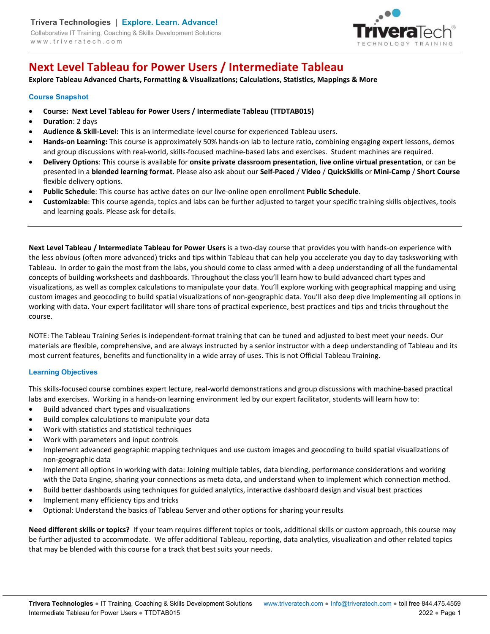

# **Next Level Tableau for Power Users / Intermediate Tableau**

**Explore Tableau Advanced Charts, Formatting & Visualizations; Calculations, Statistics, Mappings & More** 

## **Course Snapshot**

- **Course: Next Level Tableau for Power Users / Intermediate Tableau (TTDTAB015)**
- **Duration**: 2 days
- **Audience & Skill-Level:** This is an intermediate-level course for experienced Tableau users.
- **Hands-on Learning:** This course is approximately 50% hands-on lab to lecture ratio, combining engaging expert lessons, demos and group discussions with real-world, skills-focused machine-based labs and exercises. Student machines are required.
- **Delivery Options**: This course is available for **onsite private classroom presentation**, **live online virtual presentation**, or can be presented in a **blended learning format**. Please also ask about our **Self-Paced** / **Video** / **QuickSkills** or **Mini-Camp** / **Short Course** flexible delivery options.
- **Public Schedule**: This course has active dates on our live-online open enrollment **Public Schedule**.
- **Customizable**: This course agenda, topics and labs can be further adjusted to target your specific training skills objectives, tools and learning goals. Please ask for details.

**Next Level Tableau / Intermediate Tableau for Power Users** is a two-day course that provides you with hands-on experience with the less obvious (often more advanced) tricks and tips within Tableau that can help you accelerate you day to day tasksworking with Tableau. In order to gain the most from the labs, you should come to class armed with a deep understanding of all the fundamental concepts of building worksheets and dashboards. Throughout the class you'll learn how to build advanced chart types and visualizations, as well as complex calculations to manipulate your data. You'll explore working with geographical mapping and using custom images and geocoding to build spatial visualizations of non-geographic data. You'll also deep dive Implementing all options in working with data. Your expert facilitator will share tons of practical experience, best practices and tips and tricks throughout the course.

NOTE: The Tableau Training Series is independent-format training that can be tuned and adjusted to best meet your needs. Our materials are flexible, comprehensive, and are always instructed by a senior instructor with a deep understanding of Tableau and its most current features, benefits and functionality in a wide array of uses. This is not Official Tableau Training.

# **Learning Objectives**

This skills-focused course combines expert lecture, real-world demonstrations and group discussions with machine-based practical labs and exercises. Working in a hands-on learning environment led by our expert facilitator, students will learn how to:

- Build advanced chart types and visualizations
- Build complex calculations to manipulate your data
- Work with statistics and statistical techniques
- Work with parameters and input controls
- Implement advanced geographic mapping techniques and use custom images and geocoding to build spatial visualizations of non-geographic data
- Implement all options in working with data: Joining multiple tables, data blending, performance considerations and working with the Data Engine, sharing your connections as meta data, and understand when to implement which connection method.
- Build better dashboards using techniques for guided analytics, interactive dashboard design and visual best practices
- Implement many efficiency tips and tricks
- Optional: Understand the basics of Tableau Server and other options for sharing your results

**Need different skills or topics?** If your team requires different topics or tools, additional skills or custom approach, this course may be further adjusted to accommodate. We offer additional Tableau, reporting, data analytics, visualization and other related topics that may be blended with this course for a track that best suits your needs.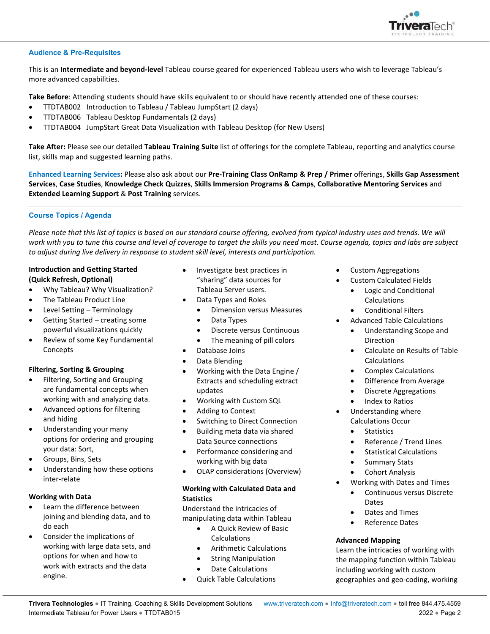

#### **Audience & Pre-Requisites**

This is an **Intermediate and beyond-level** Tableau course geared for experienced Tableau users who wish to leverage Tableau's more advanced capabilities.

**Take Before**: Attending students should have skills equivalent to or should have recently attended one of these courses:

- TTDTAB002 Introduction to Tableau / Tableau JumpStart (2 days)
- TTDTAB006 Tableau Desktop Fundamentals (2 days)
- TTDTAB004 JumpStart Great Data Visualization with Tableau Desktop (for New Users)

**Take After:** Please see our detailed **Tableau Training Suite** list of offerings for the complete Tableau, reporting and analytics course list, skills map and suggested learning paths.

**Enhanced Learning Services:** Please also ask about our **Pre-Training Class OnRamp & Prep / Primer** offerings, **Skills Gap Assessment Services**, **Case Studies**, **Knowledge Check Quizzes**, **Skills Immersion Programs & Camps**, **Collaborative Mentoring Services** and **Extended Learning Support** & **Post Training** services.

#### **Course Topics / Agenda**

*Please note that this list of topics is based on our standard course offering, evolved from typical industry uses and trends. We will work with you to tune this course and level of coverage to target the skills you need most. Course agenda, topics and labs are subject to adjust during live delivery in response to student skill level, interests and participation.* 

## **Introduction and Getting Started (Quick Refresh, Optional)**

- Why Tableau? Why Visualization?
- The Tableau Product Line
- Level Setting Terminology
- Getting Started creating some powerful visualizations quickly
- Review of some Key Fundamental Concepts

## **Filtering, Sorting & Grouping**

- Filtering, Sorting and Grouping are fundamental concepts when working with and analyzing data.
- Advanced options for filtering and hiding
- Understanding your many options for ordering and grouping your data: Sort,
- Groups, Bins, Sets
- Understanding how these options inter-relate

#### **Working with Data**

- Learn the difference between joining and blending data, and to do each
- Consider the implications of working with large data sets, and options for when and how to work with extracts and the data engine.
- Investigate best practices in "sharing" data sources for Tableau Server users.
- Data Types and Roles
	- Dimension versus Measures
	- Data Types
	- Discrete versus Continuous
- The meaning of pill colors
- Database Joins
- Data Blending
- Working with the Data Engine / Extracts and scheduling extract updates
- Working with Custom SQL
- Adding to Context
- Switching to Direct Connection
- Building meta data via shared Data Source connections
- Performance considering and working with big data
- OLAP considerations (Overview)

#### **Working with Calculated Data and Statistics**

Understand the intricacies of manipulating data within Tableau

- A Quick Review of Basic Calculations
- Arithmetic Calculations
- String Manipulation
- Date Calculations
- Quick Table Calculations
- Custom Aggregations
- Custom Calculated Fields
	- Logic and Conditional Calculations
	- Conditional Filters
- Advanced Table Calculations
	- Understanding Scope and Direction
	- Calculate on Results of Table Calculations
	- Complex Calculations
	- Difference from Average
	- Discrete Aggregations
	- Index to Ratios
- Understanding where Calculations Occur
	- **Statistics**
	- Reference / Trend Lines
	- Statistical Calculations
	- Summary Stats
	- Cohort Analysis
- Working with Dates and Times
	- Continuous versus Discrete **Dates**
	- Dates and Times
	- Reference Dates

#### **Advanced Mapping**

Learn the intricacies of working with the mapping function within Tableau including working with custom geographies and geo-coding, working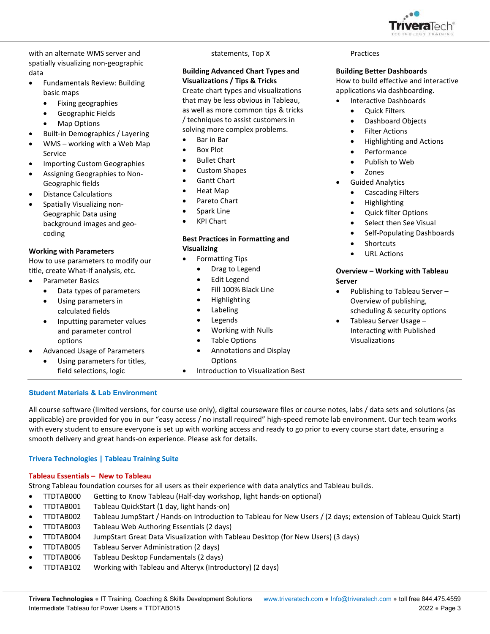

with an alternate WMS server and spatially visualizing non-geographic data

- Fundamentals Review: Building basic maps
	- Fixing geographies
	- Geographic Fields
	- Map Options
- Built-in Demographics / Layering
- WMS working with a Web Map Service
- Importing Custom Geographies
- Assigning Geographies to Non-Geographic fields
- Distance Calculations
- Spatially Visualizing non-Geographic Data using background images and geocoding

## **Working with Parameters**

How to use parameters to modify our title, create What-If analysis, etc.

- Parameter Basics
	- Data types of parameters
	- Using parameters in calculated fields
	- Inputting parameter values and parameter control options
- Advanced Usage of Parameters
	- Using parameters for titles, field selections, logic

## statements, Top X

## **Building Advanced Chart Types and Visualizations / Tips & Tricks**

Create chart types and visualizations that may be less obvious in Tableau, as well as more common tips & tricks / techniques to assist customers in solving more complex problems.

- Bar in Bar
- Box Plot
- Bullet Chart
- Custom Shapes
- Gantt Chart
- Heat Map
- Pareto Chart
- Spark Line
- KPI Chart

## **Best Practices in Formatting and Visualizing**

- Formatting Tips
	- Drag to Legend
	- Edit Legend
	- Fill 100% Black Line
	- Highlighting
	- Labeling
	- Legends
	- Working with Nulls
	- Table Options
	- Annotations and Display Options
	- Introduction to Visualization Best

#### Practices

## **Building Better Dashboards**

How to build effective and interactive applications via dashboarding.

- Interactive Dashboards
	- Quick Filters
	- Dashboard Objects
	- Filter Actions
	- Highlighting and Actions
	- Performance
	- Publish to Web
	- Zones
- **•** Guided Analytics
	- Cascading Filters
	- Highlighting
	- Quick filter Options
	- Select then See Visual
	- Self-Populating Dashboards
	- Shortcuts
	- URL Actions

## **Overview – Working with Tableau Server**

- Publishing to Tableau Server Overview of publishing, scheduling & security options
- Tableau Server Usage Interacting with Published Visualizations

# **Student Materials & Lab Environment**

All course software (limited versions, for course use only), digital courseware files or course notes, labs / data sets and solutions (as applicable) are provided for you in our "easy access / no install required" high-speed remote lab environment. Our tech team works with every student to ensure everyone is set up with working access and ready to go prior to every course start date, ensuring a smooth delivery and great hands-on experience. Please ask for details.

## **Trivera Technologies | Tableau Training Suite**

## **Tableau Essentials – New to Tableau**

Strong Tableau foundation courses for all users as their experience with data analytics and Tableau builds.

- TTDTAB000 Getting to Know Tableau (Half-day workshop, light hands-on optional)
- TTDTAB001 Tableau QuickStart (1 day, light hands-on)
- TTDTAB002 Tableau JumpStart / Hands-on Introduction to Tableau for New Users / (2 days; extension of Tableau Quick Start)
- TTDTAB003 Tableau Web Authoring Essentials (2 days)
- TTDTAB004 JumpStart Great Data Visualization with Tableau Desktop (for New Users) (3 days)
- TTDTAB005 Tableau Server Administration (2 days)
- TTDTAB006 Tableau Desktop Fundamentals (2 days)
- TTDTAB102 Working with Tableau and Alteryx (Introductory) (2 days)